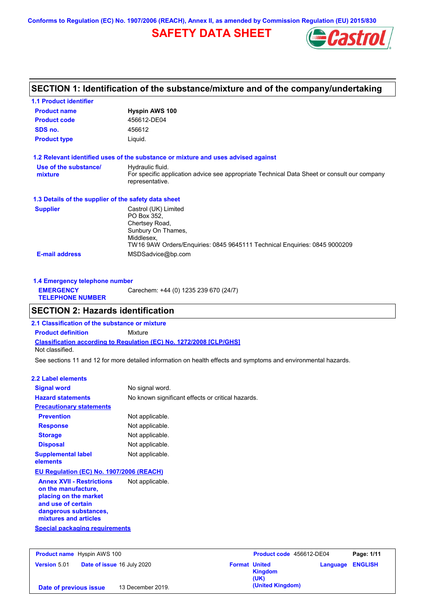**Conforms to Regulation (EC) No. 1907/2006 (REACH), Annex II, as amended by Commission Regulation (EU) 2015/830**

## **SAFETY DATA SHEET**



| <b>1.1 Product identifier</b>                                                                                                                                                             |                                                                                                                                    |  |  |  |
|-------------------------------------------------------------------------------------------------------------------------------------------------------------------------------------------|------------------------------------------------------------------------------------------------------------------------------------|--|--|--|
| <b>Product name</b>                                                                                                                                                                       | <b>Hyspin AWS 100</b>                                                                                                              |  |  |  |
| <b>Product code</b>                                                                                                                                                                       | 456612-DE04                                                                                                                        |  |  |  |
| SDS no.                                                                                                                                                                                   | 456612                                                                                                                             |  |  |  |
| <b>Product type</b>                                                                                                                                                                       | Liquid.                                                                                                                            |  |  |  |
|                                                                                                                                                                                           | 1.2 Relevant identified uses of the substance or mixture and uses advised against                                                  |  |  |  |
| Use of the substance/<br>mixture                                                                                                                                                          | Hydraulic fluid.<br>For specific application advice see appropriate Technical Data Sheet or consult our company<br>representative. |  |  |  |
| 1.3 Details of the supplier of the safety data sheet                                                                                                                                      |                                                                                                                                    |  |  |  |
| Castrol (UK) Limited<br><b>Supplier</b><br>PO Box 352.<br>Chertsey Road,<br>Sunbury On Thames,<br>Middlesex,<br>TW16 9AW Orders/Enquiries: 0845 9645111 Technical Enquiries: 0845 9000209 |                                                                                                                                    |  |  |  |
| <b>E-mail address</b>                                                                                                                                                                     | MSDSadvice@bp.com                                                                                                                  |  |  |  |

| 1.4 Emergency telephone number              |                                       |
|---------------------------------------------|---------------------------------------|
| <b>EMERGENCY</b><br><b>TELEPHONE NUMBER</b> | Carechem: +44 (0) 1235 239 670 (24/7) |
|                                             |                                       |

## **SECTION 2: Hazards identification**

**Classification according to Regulation (EC) No. 1272/2008 [CLP/GHS] 2.1 Classification of the substance or mixture Product definition** Mixture Not classified.

See sections 11 and 12 for more detailed information on health effects and symptoms and environmental hazards.

#### **2.2 Label elements**

| <b>Signal word</b>                                                                                                                                       | No signal word.                                   |
|----------------------------------------------------------------------------------------------------------------------------------------------------------|---------------------------------------------------|
| <b>Hazard statements</b>                                                                                                                                 | No known significant effects or critical hazards. |
| <b>Precautionary statements</b>                                                                                                                          |                                                   |
| <b>Prevention</b>                                                                                                                                        | Not applicable.                                   |
| <b>Response</b>                                                                                                                                          | Not applicable.                                   |
| <b>Storage</b>                                                                                                                                           | Not applicable.                                   |
| <b>Disposal</b>                                                                                                                                          | Not applicable.                                   |
| <b>Supplemental label</b><br>elements                                                                                                                    | Not applicable.                                   |
| EU Regulation (EC) No. 1907/2006 (REACH)                                                                                                                 |                                                   |
| <b>Annex XVII - Restrictions</b><br>on the manufacture,<br>placing on the market<br>and use of certain<br>dangerous substances,<br>mixtures and articles | Not applicable.                                   |
| <b>Special packaging requirements</b>                                                                                                                    |                                                   |

| <b>Product name</b> Hyspin AWS 100 |                            | Product code 456612-DE04 |                  | Page: 1/11              |  |
|------------------------------------|----------------------------|--------------------------|------------------|-------------------------|--|
| <b>Version 5.01</b>                | Date of issue 16 July 2020 | <b>Format United</b>     | Kingdom<br>(UK)  | <b>Language ENGLISH</b> |  |
| Date of previous issue             | 13 December 2019.          |                          | (United Kingdom) |                         |  |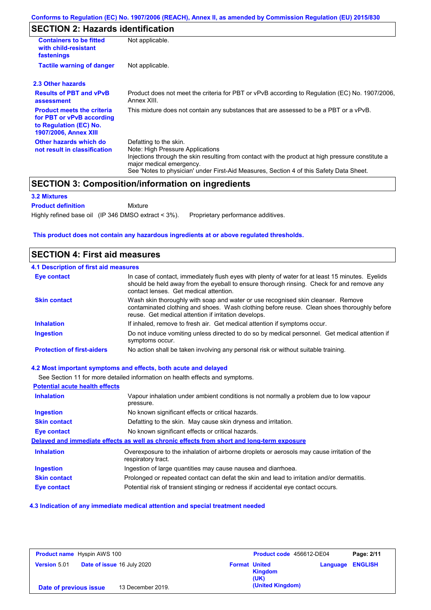## **SECTION 2: Hazards identification**

| <b>Containers to be fitted</b><br>with child-resistant<br>fastenings                                                     | Not applicable.                                                                                                                                                                                                                                                                        |  |  |  |  |
|--------------------------------------------------------------------------------------------------------------------------|----------------------------------------------------------------------------------------------------------------------------------------------------------------------------------------------------------------------------------------------------------------------------------------|--|--|--|--|
| <b>Tactile warning of danger</b>                                                                                         | Not applicable.                                                                                                                                                                                                                                                                        |  |  |  |  |
| 2.3 Other hazards                                                                                                        |                                                                                                                                                                                                                                                                                        |  |  |  |  |
| <b>Results of PBT and vPvB</b><br>assessment                                                                             | Product does not meet the criteria for PBT or vPvB according to Regulation (EC) No. 1907/2006,<br>Annex XIII.                                                                                                                                                                          |  |  |  |  |
| <b>Product meets the criteria</b><br>for PBT or vPvB according<br>to Regulation (EC) No.<br><b>1907/2006, Annex XIII</b> | This mixture does not contain any substances that are assessed to be a PBT or a vPvB.                                                                                                                                                                                                  |  |  |  |  |
| Other hazards which do<br>not result in classification                                                                   | Defatting to the skin.<br>Note: High Pressure Applications<br>Injections through the skin resulting from contact with the product at high pressure constitute a<br>major medical emergency.<br>See 'Notes to physician' under First-Aid Measures, Section 4 of this Safety Data Sheet. |  |  |  |  |

### **SECTION 3: Composition/information on ingredients**

Mixture

#### **3.2 Mixtures**

**Product definition**

Highly refined base oil (IP 346 DMSO extract < 3%). Proprietary performance additives.

#### **This product does not contain any hazardous ingredients at or above regulated thresholds.**

### **SECTION 4: First aid measures**

## **4.1 Description of first aid measures**

| <b>Eye contact</b>                | In case of contact, immediately flush eyes with plenty of water for at least 15 minutes. Eyelids<br>should be held away from the eyeball to ensure thorough rinsing. Check for and remove any<br>contact lenses. Get medical attention. |
|-----------------------------------|-----------------------------------------------------------------------------------------------------------------------------------------------------------------------------------------------------------------------------------------|
| <b>Skin contact</b>               | Wash skin thoroughly with soap and water or use recognised skin cleanser. Remove<br>contaminated clothing and shoes. Wash clothing before reuse. Clean shoes thoroughly before<br>reuse. Get medical attention if irritation develops.  |
| <b>Inhalation</b>                 | If inhaled, remove to fresh air. Get medical attention if symptoms occur.                                                                                                                                                               |
| <b>Ingestion</b>                  | Do not induce vomiting unless directed to do so by medical personnel. Get medical attention if<br>symptoms occur.                                                                                                                       |
| <b>Protection of first-aiders</b> | No action shall be taken involving any personal risk or without suitable training.                                                                                                                                                      |

#### **4.2 Most important symptoms and effects, both acute and delayed**

See Section 11 for more detailed information on health effects and symptoms. **Potential acute health effects Inhalation** Vapour inhalation under ambient conditions is not normally a problem due to low vapour pressure. **Ingestion** No known significant effects or critical hazards. **Skin contact** Defatting to the skin. May cause skin dryness and irritation. **Eye contact** No known significant effects or critical hazards. **Delayed and immediate effects as well as chronic effects from short and long-term exposure Inhalation Ingestion Skin contact Eye contact** Overexposure to the inhalation of airborne droplets or aerosols may cause irritation of the respiratory tract. Ingestion of large quantities may cause nausea and diarrhoea. Prolonged or repeated contact can defat the skin and lead to irritation and/or dermatitis. Potential risk of transient stinging or redness if accidental eye contact occurs.

#### **4.3 Indication of any immediate medical attention and special treatment needed**

| <b>Product name</b> Hyspin AWS 100 |                                   | Product code 456612-DE04 |                      | Page: 2/11             |                         |  |
|------------------------------------|-----------------------------------|--------------------------|----------------------|------------------------|-------------------------|--|
| <b>Version 5.01</b>                | <b>Date of issue 16 July 2020</b> |                          | <b>Format United</b> | <b>Kingdom</b><br>(UK) | <b>Language ENGLISH</b> |  |
| Date of previous issue             |                                   | 13 December 2019.        |                      | (United Kingdom)       |                         |  |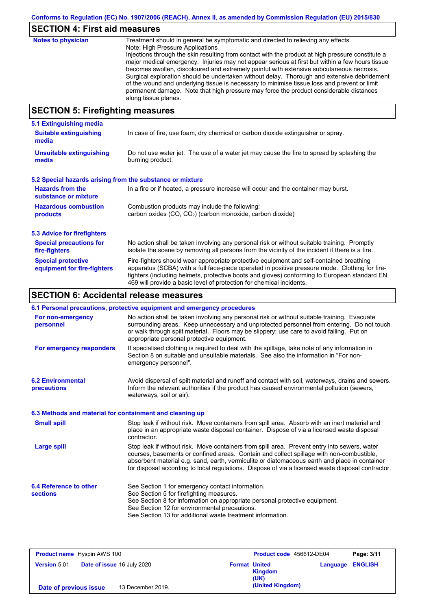# **SECTION 4: First aid measures**

| <b>Notes to physician</b>          | Treatment should in general be symptomatic and directed to relieving any effects.<br>Note: High Pressure Applications<br>Injections through the skin resulting from contact with the product at high pressure constitute a<br>major medical emergency. Injuries may not appear serious at first but within a few hours tissue<br>becomes swollen, discoloured and extremely painful with extensive subcutaneous necrosis.<br>Surgical exploration should be undertaken without delay. Thorough and extensive debridement<br>of the wound and underlying tissue is necessary to minimise tissue loss and prevent or limit<br>permanent damage. Note that high pressure may force the product considerable distances<br>along tissue planes. |
|------------------------------------|--------------------------------------------------------------------------------------------------------------------------------------------------------------------------------------------------------------------------------------------------------------------------------------------------------------------------------------------------------------------------------------------------------------------------------------------------------------------------------------------------------------------------------------------------------------------------------------------------------------------------------------------------------------------------------------------------------------------------------------------|
| CECTION E. Einefinkting measonings |                                                                                                                                                                                                                                                                                                                                                                                                                                                                                                                                                                                                                                                                                                                                            |

## **SECTION 5: Firefighting measures**

| 5.1 Extinguishing media                                                                                                                                                                                                                                                                                                                                                                                                       |                                                                                                                          |  |  |
|-------------------------------------------------------------------------------------------------------------------------------------------------------------------------------------------------------------------------------------------------------------------------------------------------------------------------------------------------------------------------------------------------------------------------------|--------------------------------------------------------------------------------------------------------------------------|--|--|
| <b>Suitable extinguishing</b><br>media                                                                                                                                                                                                                                                                                                                                                                                        | In case of fire, use foam, dry chemical or carbon dioxide extinguisher or spray.                                         |  |  |
| <b>Unsuitable extinguishing</b><br>media                                                                                                                                                                                                                                                                                                                                                                                      | Do not use water jet. The use of a water jet may cause the fire to spread by splashing the<br>burning product.           |  |  |
| 5.2 Special hazards arising from the substance or mixture                                                                                                                                                                                                                                                                                                                                                                     |                                                                                                                          |  |  |
| <b>Hazards from the</b><br>In a fire or if heated, a pressure increase will occur and the container may burst.<br>substance or mixture                                                                                                                                                                                                                                                                                        |                                                                                                                          |  |  |
| <b>Hazardous combustion</b>                                                                                                                                                                                                                                                                                                                                                                                                   | Combustion products may include the following:<br>carbon oxides (CO, CO <sub>2</sub> ) (carbon monoxide, carbon dioxide) |  |  |
| products                                                                                                                                                                                                                                                                                                                                                                                                                      |                                                                                                                          |  |  |
| 5.3 Advice for firefighters                                                                                                                                                                                                                                                                                                                                                                                                   |                                                                                                                          |  |  |
| <b>Special precautions for</b><br>No action shall be taken involving any personal risk or without suitable training. Promptly<br>isolate the scene by removing all persons from the vicinity of the incident if there is a fire.<br>fire-fighters                                                                                                                                                                             |                                                                                                                          |  |  |
| <b>Special protective</b><br>Fire-fighters should wear appropriate protective equipment and self-contained breathing<br>apparatus (SCBA) with a full face-piece operated in positive pressure mode. Clothing for fire-<br>equipment for fire-fighters<br>fighters (including helmets, protective boots and gloves) conforming to European standard EN<br>469 will provide a basic level of protection for chemical incidents. |                                                                                                                          |  |  |

## **SECTION 6: Accidental release measures**

|                                                          | 6.1 Personal precautions, protective equipment and emergency procedures                                                                                                                                                                                                                                                                                                                        |
|----------------------------------------------------------|------------------------------------------------------------------------------------------------------------------------------------------------------------------------------------------------------------------------------------------------------------------------------------------------------------------------------------------------------------------------------------------------|
| For non-emergency<br>personnel                           | No action shall be taken involving any personal risk or without suitable training. Evacuate<br>surrounding areas. Keep unnecessary and unprotected personnel from entering. Do not touch<br>or walk through spilt material. Floors may be slippery; use care to avoid falling. Put on<br>appropriate personal protective equipment.                                                            |
| For emergency responders                                 | If specialised clothing is required to deal with the spillage, take note of any information in<br>Section 8 on suitable and unsuitable materials. See also the information in "For non-<br>emergency personnel".                                                                                                                                                                               |
| <b>6.2 Environmental</b><br>precautions                  | Avoid dispersal of spilt material and runoff and contact with soil, waterways, drains and sewers.<br>Inform the relevant authorities if the product has caused environmental pollution (sewers,<br>waterways, soil or air).                                                                                                                                                                    |
| 6.3 Methods and material for containment and cleaning up |                                                                                                                                                                                                                                                                                                                                                                                                |
| <b>Small spill</b>                                       | Stop leak if without risk. Move containers from spill area. Absorb with an inert material and<br>place in an appropriate waste disposal container. Dispose of via a licensed waste disposal<br>contractor.                                                                                                                                                                                     |
| <b>Large spill</b>                                       | Stop leak if without risk. Move containers from spill area. Prevent entry into sewers, water<br>courses, basements or confined areas. Contain and collect spillage with non-combustible,<br>absorbent material e.g. sand, earth, vermiculite or diatomaceous earth and place in container<br>for disposal according to local regulations. Dispose of via a licensed waste disposal contractor. |
| 6.4 Reference to other<br><b>sections</b>                | See Section 1 for emergency contact information.<br>See Section 5 for firefighting measures.<br>See Section 8 for information on appropriate personal protective equipment.<br>See Section 12 for environmental precautions.<br>See Section 13 for additional waste treatment information.                                                                                                     |

| <b>Product name</b> Hyspin AWS 100 |                            | Product code 456612-DE04 |                      | Page: 3/11       |                         |  |
|------------------------------------|----------------------------|--------------------------|----------------------|------------------|-------------------------|--|
| <b>Version 5.01</b>                | Date of issue 16 July 2020 |                          | <b>Format United</b> | Kingdom<br>(UK)  | <b>Language ENGLISH</b> |  |
| Date of previous issue             |                            | 13 December 2019.        |                      | (United Kingdom) |                         |  |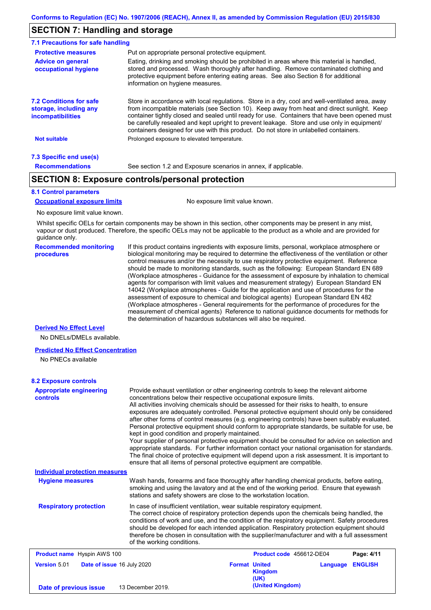## **SECTION 7: Handling and storage**

| <b>Recommendations</b>                                                                                                                                                                                                                                                                                                                                               | See section 1.2 and Exposure scenarios in annex, if applicable.                                                                                                                                                                                                                                                                                                                                                                                                                          |  |  |  |
|----------------------------------------------------------------------------------------------------------------------------------------------------------------------------------------------------------------------------------------------------------------------------------------------------------------------------------------------------------------------|------------------------------------------------------------------------------------------------------------------------------------------------------------------------------------------------------------------------------------------------------------------------------------------------------------------------------------------------------------------------------------------------------------------------------------------------------------------------------------------|--|--|--|
| 7.3 Specific end use(s)                                                                                                                                                                                                                                                                                                                                              |                                                                                                                                                                                                                                                                                                                                                                                                                                                                                          |  |  |  |
| <b>Not suitable</b>                                                                                                                                                                                                                                                                                                                                                  | Prolonged exposure to elevated temperature.                                                                                                                                                                                                                                                                                                                                                                                                                                              |  |  |  |
| <b>7.2 Conditions for safe</b><br>storage, including any<br><i>incompatibilities</i>                                                                                                                                                                                                                                                                                 | Store in accordance with local requiations. Store in a dry, cool and well-ventilated area, away<br>from incompatible materials (see Section 10). Keep away from heat and direct sunlight. Keep<br>container tightly closed and sealed until ready for use. Containers that have been opened must<br>be carefully resealed and kept upright to prevent leakage. Store and use only in equipment/<br>containers designed for use with this product. Do not store in unlabelled containers. |  |  |  |
| Eating, drinking and smoking should be prohibited in areas where this material is handled.<br><b>Advice on general</b><br>stored and processed. Wash thoroughly after handling. Remove contaminated clothing and<br>occupational hygiene<br>protective equipment before entering eating areas. See also Section 8 for additional<br>information on hygiene measures. |                                                                                                                                                                                                                                                                                                                                                                                                                                                                                          |  |  |  |
| Put on appropriate personal protective equipment.<br><b>Protective measures</b>                                                                                                                                                                                                                                                                                      |                                                                                                                                                                                                                                                                                                                                                                                                                                                                                          |  |  |  |
| 7.1 Precautions for safe handling                                                                                                                                                                                                                                                                                                                                    |                                                                                                                                                                                                                                                                                                                                                                                                                                                                                          |  |  |  |

## **SECTION 8: Exposure controls/personal protection**

#### **8.1 Control parameters**

**Occupational exposure limits** No exposure limit value known.

No exposure limit value known.

Whilst specific OELs for certain components may be shown in this section, other components may be present in any mist, vapour or dust produced. Therefore, the specific OELs may not be applicable to the product as a whole and are provided for guidance only.

**Recommended monitoring procedures** If this product contains ingredients with exposure limits, personal, workplace atmosphere or biological monitoring may be required to determine the effectiveness of the ventilation or other control measures and/or the necessity to use respiratory protective equipment. Reference should be made to monitoring standards, such as the following: European Standard EN 689 (Workplace atmospheres - Guidance for the assessment of exposure by inhalation to chemical agents for comparison with limit values and measurement strategy) European Standard EN 14042 (Workplace atmospheres - Guide for the application and use of procedures for the assessment of exposure to chemical and biological agents) European Standard EN 482 (Workplace atmospheres - General requirements for the performance of procedures for the measurement of chemical agents) Reference to national guidance documents for methods for the determination of hazardous substances will also be required.

#### **Derived No Effect Level**

No DNELs/DMELs available.

#### **Predicted No Effect Concentration**

No PNECs available

#### **8.2 Exposure controls**

| <b>Appropriate engineering</b><br><b>controls</b> | Provide exhaust ventilation or other engineering controls to keep the relevant airborne<br>concentrations below their respective occupational exposure limits.<br>All activities involving chemicals should be assessed for their risks to health, to ensure<br>exposures are adequately controlled. Personal protective equipment should only be considered<br>after other forms of control measures (e.g. engineering controls) have been suitably evaluated.<br>Personal protective equipment should conform to appropriate standards, be suitable for use, be<br>kept in good condition and properly maintained.<br>Your supplier of personal protective equipment should be consulted for advice on selection and<br>appropriate standards. For further information contact your national organisation for standards.<br>The final choice of protective equipment will depend upon a risk assessment. It is important to<br>ensure that all items of personal protective equipment are compatible. |                      |                          |          |                |
|---------------------------------------------------|---------------------------------------------------------------------------------------------------------------------------------------------------------------------------------------------------------------------------------------------------------------------------------------------------------------------------------------------------------------------------------------------------------------------------------------------------------------------------------------------------------------------------------------------------------------------------------------------------------------------------------------------------------------------------------------------------------------------------------------------------------------------------------------------------------------------------------------------------------------------------------------------------------------------------------------------------------------------------------------------------------|----------------------|--------------------------|----------|----------------|
| <b>Individual protection measures</b>             |                                                                                                                                                                                                                                                                                                                                                                                                                                                                                                                                                                                                                                                                                                                                                                                                                                                                                                                                                                                                         |                      |                          |          |                |
| <b>Hygiene measures</b>                           | Wash hands, forearms and face thoroughly after handling chemical products, before eating,<br>smoking and using the lavatory and at the end of the working period. Ensure that eyewash<br>stations and safety showers are close to the workstation location.                                                                                                                                                                                                                                                                                                                                                                                                                                                                                                                                                                                                                                                                                                                                             |                      |                          |          |                |
| <b>Respiratory protection</b>                     | In case of insufficient ventilation, wear suitable respiratory equipment.<br>The correct choice of respiratory protection depends upon the chemicals being handled, the<br>conditions of work and use, and the condition of the respiratory equipment. Safety procedures<br>should be developed for each intended application. Respiratory protection equipment should<br>therefore be chosen in consultation with the supplier/manufacturer and with a full assessment<br>of the working conditions.                                                                                                                                                                                                                                                                                                                                                                                                                                                                                                   |                      |                          |          |                |
| <b>Product name</b> Hyspin AWS 100                |                                                                                                                                                                                                                                                                                                                                                                                                                                                                                                                                                                                                                                                                                                                                                                                                                                                                                                                                                                                                         |                      | Product code 456612-DE04 |          | Page: 4/11     |
| <b>Version 5.01</b><br>Date of issue 16 July 2020 |                                                                                                                                                                                                                                                                                                                                                                                                                                                                                                                                                                                                                                                                                                                                                                                                                                                                                                                                                                                                         | <b>Format United</b> | <b>Kingdom</b><br>(UK)   | Language | <b>ENGLISH</b> |
| Date of previous issue                            | 13 December 2019.                                                                                                                                                                                                                                                                                                                                                                                                                                                                                                                                                                                                                                                                                                                                                                                                                                                                                                                                                                                       |                      | (United Kingdom)         |          |                |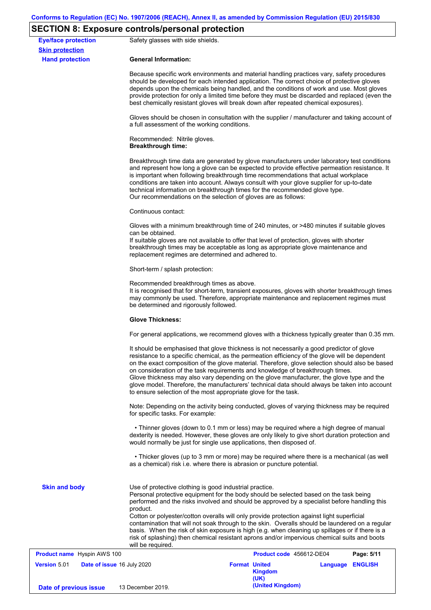## **SECTION 8: Exposure controls/personal protection**

| <b>Eye/face protection</b><br><b>Skin protection</b> | Safety glasses with side shields.                                                                                                                                                                                                                                                                                                                                                                                                                                                                                                                                                                                                                 |                                                |                  |            |  |  |
|------------------------------------------------------|---------------------------------------------------------------------------------------------------------------------------------------------------------------------------------------------------------------------------------------------------------------------------------------------------------------------------------------------------------------------------------------------------------------------------------------------------------------------------------------------------------------------------------------------------------------------------------------------------------------------------------------------------|------------------------------------------------|------------------|------------|--|--|
| <b>Hand protection</b>                               | <b>General Information:</b>                                                                                                                                                                                                                                                                                                                                                                                                                                                                                                                                                                                                                       |                                                |                  |            |  |  |
|                                                      | Because specific work environments and material handling practices vary, safety procedures<br>should be developed for each intended application. The correct choice of protective gloves<br>depends upon the chemicals being handled, and the conditions of work and use. Most gloves<br>provide protection for only a limited time before they must be discarded and replaced (even the<br>best chemically resistant gloves will break down after repeated chemical exposures).                                                                                                                                                                  |                                                |                  |            |  |  |
|                                                      | Gloves should be chosen in consultation with the supplier / manufacturer and taking account of<br>a full assessment of the working conditions.                                                                                                                                                                                                                                                                                                                                                                                                                                                                                                    |                                                |                  |            |  |  |
|                                                      | Recommended: Nitrile gloves.<br><b>Breakthrough time:</b>                                                                                                                                                                                                                                                                                                                                                                                                                                                                                                                                                                                         |                                                |                  |            |  |  |
|                                                      | Breakthrough time data are generated by glove manufacturers under laboratory test conditions<br>and represent how long a glove can be expected to provide effective permeation resistance. It<br>is important when following breakthrough time recommendations that actual workplace<br>conditions are taken into account. Always consult with your glove supplier for up-to-date<br>technical information on breakthrough times for the recommended glove type.<br>Our recommendations on the selection of gloves are as follows:                                                                                                                |                                                |                  |            |  |  |
|                                                      | Continuous contact:                                                                                                                                                                                                                                                                                                                                                                                                                                                                                                                                                                                                                               |                                                |                  |            |  |  |
|                                                      | Gloves with a minimum breakthrough time of 240 minutes, or >480 minutes if suitable gloves<br>can be obtained.<br>If suitable gloves are not available to offer that level of protection, gloves with shorter<br>breakthrough times may be acceptable as long as appropriate glove maintenance and<br>replacement regimes are determined and adhered to.                                                                                                                                                                                                                                                                                          |                                                |                  |            |  |  |
|                                                      | Short-term / splash protection:<br>Recommended breakthrough times as above.<br>It is recognised that for short-term, transient exposures, gloves with shorter breakthrough times<br>may commonly be used. Therefore, appropriate maintenance and replacement regimes must<br>be determined and rigorously followed.                                                                                                                                                                                                                                                                                                                               |                                                |                  |            |  |  |
|                                                      |                                                                                                                                                                                                                                                                                                                                                                                                                                                                                                                                                                                                                                                   |                                                |                  |            |  |  |
|                                                      | <b>Glove Thickness:</b>                                                                                                                                                                                                                                                                                                                                                                                                                                                                                                                                                                                                                           |                                                |                  |            |  |  |
|                                                      | For general applications, we recommend gloves with a thickness typically greater than 0.35 mm.                                                                                                                                                                                                                                                                                                                                                                                                                                                                                                                                                    |                                                |                  |            |  |  |
|                                                      | It should be emphasised that glove thickness is not necessarily a good predictor of glove<br>resistance to a specific chemical, as the permeation efficiency of the glove will be dependent<br>on the exact composition of the glove material. Therefore, glove selection should also be based<br>on consideration of the task requirements and knowledge of breakthrough times.<br>Glove thickness may also vary depending on the glove manufacturer, the glove type and the<br>glove model. Therefore, the manufacturers' technical data should always be taken into account<br>to ensure selection of the most appropriate glove for the task. |                                                |                  |            |  |  |
|                                                      | Note: Depending on the activity being conducted, gloves of varying thickness may be required<br>for specific tasks. For example:                                                                                                                                                                                                                                                                                                                                                                                                                                                                                                                  |                                                |                  |            |  |  |
|                                                      | • Thinner gloves (down to 0.1 mm or less) may be required where a high degree of manual<br>dexterity is needed. However, these gloves are only likely to give short duration protection and<br>would normally be just for single use applications, then disposed of.                                                                                                                                                                                                                                                                                                                                                                              |                                                |                  |            |  |  |
|                                                      | • Thicker gloves (up to 3 mm or more) may be required where there is a mechanical (as well<br>as a chemical) risk i.e. where there is abrasion or puncture potential.                                                                                                                                                                                                                                                                                                                                                                                                                                                                             |                                                |                  |            |  |  |
| <b>Skin and body</b>                                 | Use of protective clothing is good industrial practice.<br>Personal protective equipment for the body should be selected based on the task being<br>performed and the risks involved and should be approved by a specialist before handling this<br>product.                                                                                                                                                                                                                                                                                                                                                                                      |                                                |                  |            |  |  |
|                                                      | Cotton or polyester/cotton overalls will only provide protection against light superficial<br>contamination that will not soak through to the skin. Overalls should be laundered on a regular<br>basis. When the risk of skin exposure is high (e.g. when cleaning up spillages or if there is a<br>risk of splashing) then chemical resistant aprons and/or impervious chemical suits and boots<br>will be required.                                                                                                                                                                                                                             |                                                |                  |            |  |  |
| <b>Product name</b> Hyspin AWS 100                   |                                                                                                                                                                                                                                                                                                                                                                                                                                                                                                                                                                                                                                                   | Product code 456612-DE04                       |                  | Page: 5/11 |  |  |
| <b>Version 5.01</b><br>Date of issue 16 July 2020    |                                                                                                                                                                                                                                                                                                                                                                                                                                                                                                                                                                                                                                                   | <b>Format United</b><br><b>Kingdom</b><br>(UK) | Language ENGLISH |            |  |  |
| Date of previous issue                               | 13 December 2019.                                                                                                                                                                                                                                                                                                                                                                                                                                                                                                                                                                                                                                 | (United Kingdom)                               |                  |            |  |  |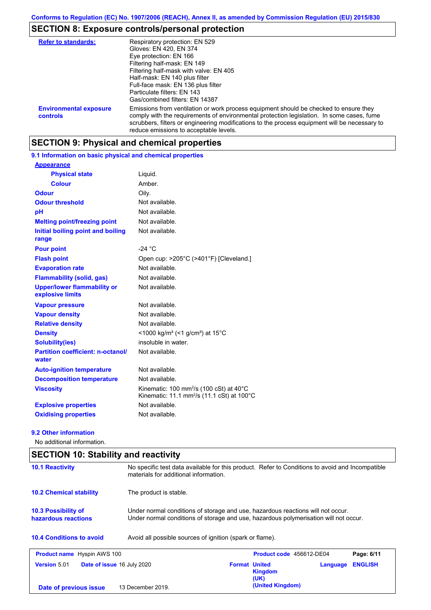## **SECTION 8: Exposure controls/personal protection**

| <b>Refer to standards:</b>                | Respiratory protection: EN 529<br>Gloves: EN 420, EN 374<br>Eye protection: EN 166<br>Filtering half-mask: EN 149<br>Filtering half-mask with valve: EN 405<br>Half-mask: EN 140 plus filter<br>Full-face mask: EN 136 plus filter<br>Particulate filters: EN 143<br>Gas/combined filters: EN 14387                           |
|-------------------------------------------|-------------------------------------------------------------------------------------------------------------------------------------------------------------------------------------------------------------------------------------------------------------------------------------------------------------------------------|
| <b>Environmental exposure</b><br>controls | Emissions from ventilation or work process equipment should be checked to ensure they<br>comply with the requirements of environmental protection legislation. In some cases, fume<br>scrubbers, filters or engineering modifications to the process equipment will be necessary to<br>reduce emissions to acceptable levels. |

## **SECTION 9: Physical and chemical properties**

**9.1 Information on basic physical and chemical properties**

| <b>Appearance</b>                                      |                                                                                                                                     |
|--------------------------------------------------------|-------------------------------------------------------------------------------------------------------------------------------------|
| <b>Physical state</b>                                  | Liquid.                                                                                                                             |
| <b>Colour</b>                                          | Amber.                                                                                                                              |
| <b>Odour</b>                                           | Oily.                                                                                                                               |
| <b>Odour threshold</b>                                 | Not available.                                                                                                                      |
| рH                                                     | Not available.                                                                                                                      |
| <b>Melting point/freezing point</b>                    | Not available.                                                                                                                      |
| Initial boiling point and boiling<br>range             | Not available.                                                                                                                      |
| <b>Pour point</b>                                      | $-24 °C$                                                                                                                            |
| <b>Flash point</b>                                     | Open cup: >205°C (>401°F) [Cleveland.]                                                                                              |
| <b>Evaporation rate</b>                                | Not available.                                                                                                                      |
| <b>Flammability (solid, gas)</b>                       | Not available.                                                                                                                      |
| <b>Upper/lower flammability or</b><br>explosive limits | Not available.                                                                                                                      |
| <b>Vapour pressure</b>                                 | Not available.                                                                                                                      |
| <b>Vapour density</b>                                  | Not available.                                                                                                                      |
| <b>Relative density</b>                                | Not available.                                                                                                                      |
| <b>Density</b>                                         | $<$ 1000 kg/m <sup>3</sup> (<1 g/cm <sup>3</sup> ) at 15 <sup>°</sup> C                                                             |
| <b>Solubility(ies)</b>                                 | insoluble in water.                                                                                                                 |
| <b>Partition coefficient: n-octanol/</b><br>water      | Not available.                                                                                                                      |
| <b>Auto-ignition temperature</b>                       | Not available.                                                                                                                      |
| <b>Decomposition temperature</b>                       | Not available.                                                                                                                      |
| <b>Viscosity</b>                                       | Kinematic: 100 mm <sup>2</sup> /s (100 cSt) at 40 $^{\circ}$ C<br>Kinematic: 11.1 mm <sup>2</sup> /s (11.1 cSt) at 100 $^{\circ}$ C |
| <b>Explosive properties</b>                            | Not available.                                                                                                                      |
| <b>Oxidising properties</b>                            | Not available.                                                                                                                      |

#### **9.2 Other information**

No additional information.

| <b>SECTION 10: Stability and reactivity</b> |                                                          |                                                                                                                                                                         |                          |          |                |  |
|---------------------------------------------|----------------------------------------------------------|-------------------------------------------------------------------------------------------------------------------------------------------------------------------------|--------------------------|----------|----------------|--|
| <b>10.1 Reactivity</b>                      |                                                          | No specific test data available for this product. Refer to Conditions to avoid and Incompatible<br>materials for additional information.                                |                          |          |                |  |
| <b>10.2 Chemical stability</b>              | The product is stable.                                   |                                                                                                                                                                         |                          |          |                |  |
| 10.3 Possibility of<br>hazardous reactions  |                                                          | Under normal conditions of storage and use, hazardous reactions will not occur.<br>Under normal conditions of storage and use, hazardous polymerisation will not occur. |                          |          |                |  |
| <b>10.4 Conditions to avoid</b>             | Avoid all possible sources of ignition (spark or flame). |                                                                                                                                                                         |                          |          |                |  |
| <b>Product name</b> Hyspin AWS 100          |                                                          |                                                                                                                                                                         | Product code 456612-DE04 |          | Page: 6/11     |  |
| <b>Version 5.01</b>                         | <b>Date of issue 16 July 2020</b>                        | <b>Format United</b>                                                                                                                                                    | <b>Kingdom</b><br>(UK)   | Language | <b>ENGLISH</b> |  |
| Date of previous issue                      | 13 December 2019.                                        |                                                                                                                                                                         | (United Kingdom)         |          |                |  |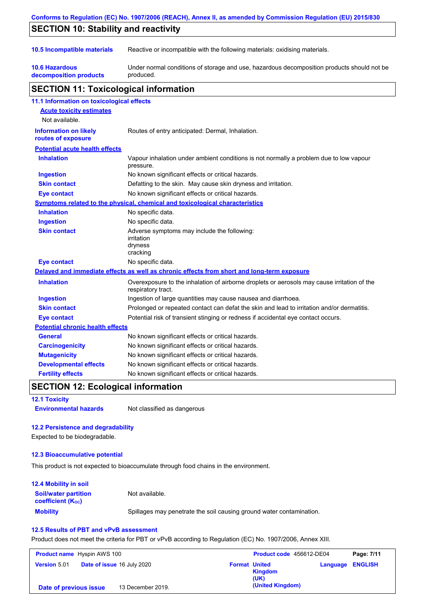| Conforms to Regulation (EC) No. 1907/2006 (REACH), Annex II, as amended by Commission Regulation (EU) 2015/830 |                                                                                                                   |  |  |
|----------------------------------------------------------------------------------------------------------------|-------------------------------------------------------------------------------------------------------------------|--|--|
| <b>SECTION 10: Stability and reactivity</b>                                                                    |                                                                                                                   |  |  |
| 10.5 Incompatible materials                                                                                    | Reactive or incompatible with the following materials: oxidising materials.                                       |  |  |
| <b>10.6 Hazardous</b><br>decomposition products                                                                | Under normal conditions of storage and use, hazardous decomposition products should not be<br>produced.           |  |  |
| <b>SECTION 11: Toxicological information</b>                                                                   |                                                                                                                   |  |  |
| 11.1 Information on toxicological effects                                                                      |                                                                                                                   |  |  |
| <b>Acute toxicity estimates</b><br>Not available.                                                              |                                                                                                                   |  |  |
| <b>Information on likely</b><br>routes of exposure                                                             | Routes of entry anticipated: Dermal, Inhalation.                                                                  |  |  |
| <b>Potential acute health effects</b>                                                                          |                                                                                                                   |  |  |
| <b>Inhalation</b>                                                                                              | Vapour inhalation under ambient conditions is not normally a problem due to low vapour<br>pressure.               |  |  |
| <b>Ingestion</b>                                                                                               | No known significant effects or critical hazards.                                                                 |  |  |
| <b>Skin contact</b>                                                                                            | Defatting to the skin. May cause skin dryness and irritation.                                                     |  |  |
| Eye contact                                                                                                    | No known significant effects or critical hazards.                                                                 |  |  |
|                                                                                                                | Symptoms related to the physical, chemical and toxicological characteristics                                      |  |  |
| <b>Inhalation</b>                                                                                              | No specific data.                                                                                                 |  |  |
| <b>Ingestion</b>                                                                                               | No specific data.                                                                                                 |  |  |
| <b>Skin contact</b>                                                                                            | Adverse symptoms may include the following:<br>irritation<br>dryness<br>cracking                                  |  |  |
| <b>Eye contact</b>                                                                                             | No specific data.                                                                                                 |  |  |
|                                                                                                                | Delayed and immediate effects as well as chronic effects from short and long-term exposure                        |  |  |
| <b>Inhalation</b>                                                                                              | Overexposure to the inhalation of airborne droplets or aerosols may cause irritation of the<br>respiratory tract. |  |  |
| <b>Ingestion</b>                                                                                               | Ingestion of large quantities may cause nausea and diarrhoea.                                                     |  |  |
| <b>Skin contact</b>                                                                                            | Prolonged or repeated contact can defat the skin and lead to irritation and/or dermatitis.                        |  |  |
| <b>Eye contact</b>                                                                                             | Potential risk of transient stinging or redness if accidental eye contact occurs.                                 |  |  |
| <b>Potential chronic health effects</b>                                                                        |                                                                                                                   |  |  |
| <b>General</b>                                                                                                 | No known significant effects or critical hazards.                                                                 |  |  |
| <b>Carcinogenicity</b>                                                                                         | No known significant effects or critical hazards.                                                                 |  |  |
| <b>Mutagenicity</b>                                                                                            | No known significant effects or critical hazards.                                                                 |  |  |
| <b>Developmental effects</b>                                                                                   | No known significant effects or critical hazards.                                                                 |  |  |
| <b>Fertility effects</b>                                                                                       | No known significant effects or critical hazards.                                                                 |  |  |

## **SECTION 12: Ecological information**

#### **12.1 Toxicity**

**Environmental hazards** Not classified as dangerous

### **12.2 Persistence and degradability**

Expected to be biodegradable.

#### **12.3 Bioaccumulative potential**

This product is not expected to bioaccumulate through food chains in the environment.

| <b>12.4 Mobility in soil</b>                                  |                                                                      |
|---------------------------------------------------------------|----------------------------------------------------------------------|
| <b>Soil/water partition</b><br>coefficient (K <sub>oc</sub> ) | Not available.                                                       |
| <b>Mobility</b>                                               | Spillages may penetrate the soil causing ground water contamination. |

#### **12.5 Results of PBT and vPvB assessment**

Product does not meet the criteria for PBT or vPvB according to Regulation (EC) No. 1907/2006, Annex XIII.

| <b>Product name</b> Hyspin AWS 100 |                                   | Product code 456612-DE04 |                      | Page: 7/11             |                         |  |
|------------------------------------|-----------------------------------|--------------------------|----------------------|------------------------|-------------------------|--|
| <b>Version 5.01</b>                | <b>Date of issue 16 July 2020</b> |                          | <b>Format United</b> | <b>Kingdom</b><br>(UK) | <b>Language ENGLISH</b> |  |
| Date of previous issue             |                                   | 13 December 2019.        |                      | (United Kingdom)       |                         |  |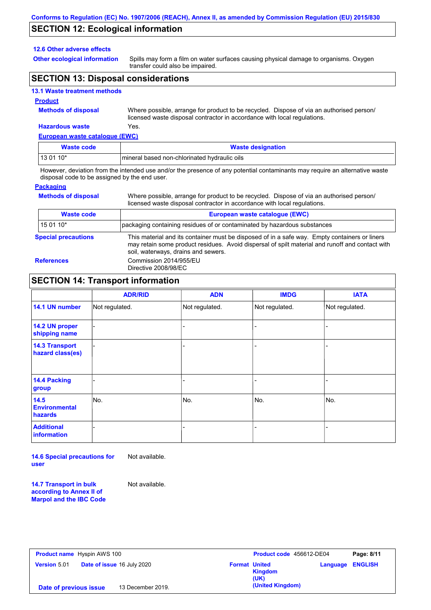## **SECTION 12: Ecological information**

#### **12.6 Other adverse effects**

**Other ecological information**

Spills may form a film on water surfaces causing physical damage to organisms. Oxygen transfer could also be impaired.

## **SECTION 13: Disposal considerations**

#### **13.1 Waste treatment methods**

#### **Product**

**Methods of disposal**

Where possible, arrange for product to be recycled. Dispose of via an authorised person/ licensed waste disposal contractor in accordance with local regulations.

Where possible, arrange for product to be recycled. Dispose of via an authorised person/

## **Hazardous waste** Yes.

| European waste catalogue (EWC) |                                              |  |  |  |
|--------------------------------|----------------------------------------------|--|--|--|
| Waste code                     | <b>Waste designation</b>                     |  |  |  |
| $130110*$                      | mineral based non-chlorinated hydraulic oils |  |  |  |

However, deviation from the intended use and/or the presence of any potential contaminants may require an alternative waste disposal code to be assigned by the end user.

#### **Packaging**

**Methods of disposal**

| licensed waste disposal contractor in accordance with local regulations. |                                                                                                                                                                                                                                         |  |  |  |
|--------------------------------------------------------------------------|-----------------------------------------------------------------------------------------------------------------------------------------------------------------------------------------------------------------------------------------|--|--|--|
| <b>Waste code</b>                                                        | European waste catalogue (EWC)                                                                                                                                                                                                          |  |  |  |
| 15 01 10*                                                                | packaging containing residues of or contaminated by hazardous substances                                                                                                                                                                |  |  |  |
| <b>Special precautions</b>                                               | This material and its container must be disposed of in a safe way. Empty containers or liners<br>may retain some product residues. Avoid dispersal of spilt material and runoff and contact with<br>soil, waterways, drains and sewers. |  |  |  |
| <b>References</b>                                                        | Commission 2014/955/EU<br>Directive 2008/98/EC                                                                                                                                                                                          |  |  |  |

### **SECTION 14: Transport information**

|                                           | <b>ADR/RID</b> | <b>ADN</b>     | <b>IMDG</b>    | <b>IATA</b>    |  |  |
|-------------------------------------------|----------------|----------------|----------------|----------------|--|--|
| 14.1 UN number                            | Not regulated. | Not regulated. | Not regulated. | Not regulated. |  |  |
| 14.2 UN proper<br>shipping name           |                |                |                |                |  |  |
| <b>14.3 Transport</b><br>hazard class(es) |                |                |                |                |  |  |
| 14.4 Packing<br>group                     |                |                |                |                |  |  |
| 14.5<br><b>Environmental</b><br>hazards   | No.            | No.            | No.            | No.            |  |  |
| <b>Additional</b><br>information          |                |                |                |                |  |  |

**14.6 Special precautions for user** Not available.

**14.7 Transport in bulk according to Annex II of Marpol and the IBC Code**

Not available.

| <b>Product name</b> Hyspin AWS 100                       | Product code 456612-DE04                |          | Page: 8/11     |
|----------------------------------------------------------|-----------------------------------------|----------|----------------|
| <b>Date of issue 16 July 2020</b><br><b>Version 5.01</b> | <b>Format United</b><br>Kingdom<br>(UK) | Language | <b>ENGLISH</b> |
| 13 December 2019.<br>Date of previous issue              | (United Kingdom)                        |          |                |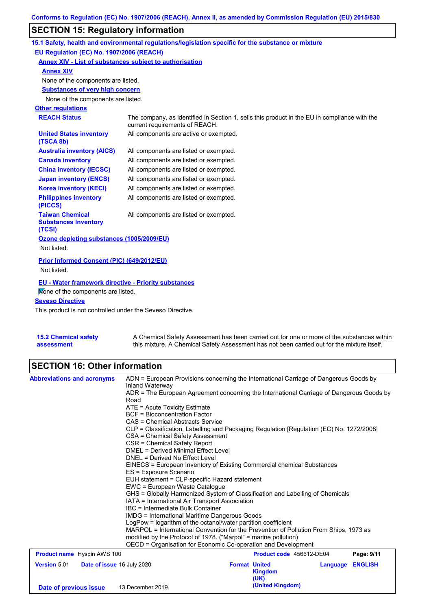# **SECTION 15: Regulatory information**

|                                                                 | 15.1 Safety, health and environmental regulations/legislation specific for the substance or mixture                            |
|-----------------------------------------------------------------|--------------------------------------------------------------------------------------------------------------------------------|
| EU Regulation (EC) No. 1907/2006 (REACH)                        |                                                                                                                                |
| <b>Annex XIV - List of substances subject to authorisation</b>  |                                                                                                                                |
| <b>Annex XIV</b>                                                |                                                                                                                                |
| None of the components are listed.                              |                                                                                                                                |
| <b>Substances of very high concern</b>                          |                                                                                                                                |
| None of the components are listed.                              |                                                                                                                                |
| <b>Other regulations</b>                                        |                                                                                                                                |
| <b>REACH Status</b>                                             | The company, as identified in Section 1, sells this product in the EU in compliance with the<br>current requirements of REACH. |
| <b>United States inventory</b><br>(TSCA 8b)                     | All components are active or exempted.                                                                                         |
| <b>Australia inventory (AICS)</b>                               | All components are listed or exempted.                                                                                         |
| <b>Canada inventory</b>                                         | All components are listed or exempted.                                                                                         |
| <b>China inventory (IECSC)</b>                                  | All components are listed or exempted.                                                                                         |
| <b>Japan inventory (ENCS)</b>                                   | All components are listed or exempted.                                                                                         |
| <b>Korea inventory (KECI)</b>                                   | All components are listed or exempted.                                                                                         |
| <b>Philippines inventory</b><br>(PICCS)                         | All components are listed or exempted.                                                                                         |
| <b>Taiwan Chemical</b><br><b>Substances Inventory</b><br>(TCSI) | All components are listed or exempted.                                                                                         |
| Ozone depleting substances (1005/2009/EU)<br>Not listed.        |                                                                                                                                |
| Prior Informed Consent (PIC) (649/2012/EU)                      |                                                                                                                                |
| Not listed.                                                     |                                                                                                                                |
| <b>EU - Water framework directive - Priority substances</b>     |                                                                                                                                |
| Mone of the components are listed.                              |                                                                                                                                |
| <b>Seveso Directive</b>                                         |                                                                                                                                |
|                                                                 |                                                                                                                                |

This product is not controlled under the Seveso Directive.

| <b>15.2 Chemical safety</b> | A Chemical Safety Assessment has been carried out for one or more of the substances within  |
|-----------------------------|---------------------------------------------------------------------------------------------|
| assessment                  | this mixture. A Chemical Safety Assessment has not been carried out for the mixture itself. |

# **SECTION 16: Other information**

| <b>Abbreviations and acronyms</b>                 | ADN = European Provisions concerning the International Carriage of Dangerous Goods by                                                                            |                                                                               |                          |          |                |                                                                                                                                                                           |  |  |  |  |
|---------------------------------------------------|------------------------------------------------------------------------------------------------------------------------------------------------------------------|-------------------------------------------------------------------------------|--------------------------|----------|----------------|---------------------------------------------------------------------------------------------------------------------------------------------------------------------------|--|--|--|--|
|                                                   | Inland Waterway                                                                                                                                                  |                                                                               |                          |          |                |                                                                                                                                                                           |  |  |  |  |
|                                                   | ADR = The European Agreement concerning the International Carriage of Dangerous Goods by                                                                         |                                                                               |                          |          |                |                                                                                                                                                                           |  |  |  |  |
|                                                   | Road                                                                                                                                                             |                                                                               |                          |          |                |                                                                                                                                                                           |  |  |  |  |
|                                                   | ATE = Acute Toxicity Estimate<br><b>BCF</b> = Bioconcentration Factor                                                                                            |                                                                               |                          |          |                |                                                                                                                                                                           |  |  |  |  |
|                                                   | CAS = Chemical Abstracts Service<br>CLP = Classification, Labelling and Packaging Regulation [Regulation (EC) No. 1272/2008]<br>CSA = Chemical Safety Assessment |                                                                               |                          |          |                |                                                                                                                                                                           |  |  |  |  |
|                                                   |                                                                                                                                                                  |                                                                               |                          |          |                | CSR = Chemical Safety Report                                                                                                                                              |  |  |  |  |
|                                                   |                                                                                                                                                                  |                                                                               |                          |          |                | DMEL = Derived Minimal Effect Level<br>DNEL = Derived No Effect Level<br>EINECS = European Inventory of Existing Commercial chemical Substances<br>ES = Exposure Scenario |  |  |  |  |
|                                                   |                                                                                                                                                                  |                                                                               |                          |          |                |                                                                                                                                                                           |  |  |  |  |
|                                                   |                                                                                                                                                                  | EUH statement = CLP-specific Hazard statement                                 |                          |          |                |                                                                                                                                                                           |  |  |  |  |
|                                                   |                                                                                                                                                                  | EWC = European Waste Cataloque                                                |                          |          |                |                                                                                                                                                                           |  |  |  |  |
|                                                   |                                                                                                                                                                  | GHS = Globally Harmonized System of Classification and Labelling of Chemicals |                          |          |                |                                                                                                                                                                           |  |  |  |  |
|                                                   | IATA = International Air Transport Association                                                                                                                   |                                                                               |                          |          |                |                                                                                                                                                                           |  |  |  |  |
|                                                   | IBC = Intermediate Bulk Container                                                                                                                                |                                                                               |                          |          |                |                                                                                                                                                                           |  |  |  |  |
|                                                   | <b>IMDG = International Maritime Dangerous Goods</b>                                                                                                             |                                                                               |                          |          |                |                                                                                                                                                                           |  |  |  |  |
|                                                   | LogPow = logarithm of the octanol/water partition coefficient<br>MARPOL = International Convention for the Prevention of Pollution From Ships, 1973 as           |                                                                               |                          |          |                |                                                                                                                                                                           |  |  |  |  |
|                                                   | modified by the Protocol of 1978. ("Marpol" = marine pollution)                                                                                                  |                                                                               |                          |          |                |                                                                                                                                                                           |  |  |  |  |
|                                                   | OECD = Organisation for Economic Co-operation and Development                                                                                                    |                                                                               |                          |          |                |                                                                                                                                                                           |  |  |  |  |
| <b>Product name</b> Hyspin AWS 100                |                                                                                                                                                                  |                                                                               | Product code 456612-DE04 |          | Page: 9/11     |                                                                                                                                                                           |  |  |  |  |
| <b>Version 5.01</b><br>Date of issue 16 July 2020 |                                                                                                                                                                  | <b>Format United</b>                                                          |                          | Language | <b>ENGLISH</b> |                                                                                                                                                                           |  |  |  |  |
|                                                   |                                                                                                                                                                  |                                                                               | <b>Kingdom</b>           |          |                |                                                                                                                                                                           |  |  |  |  |
|                                                   |                                                                                                                                                                  |                                                                               | (UK)                     |          |                |                                                                                                                                                                           |  |  |  |  |
| Date of previous issue                            | 13 December 2019.                                                                                                                                                |                                                                               | (United Kingdom)         |          |                |                                                                                                                                                                           |  |  |  |  |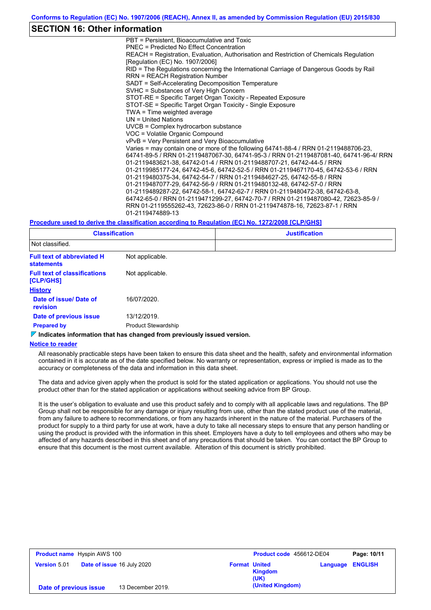### **SECTION 16: Other information**

PBT = Persistent, Bioaccumulative and Toxic PNEC = Predicted No Effect Concentration REACH = Registration, Evaluation, Authorisation and Restriction of Chemicals Regulation [Regulation (EC) No. 1907/2006] RID = The Regulations concerning the International Carriage of Dangerous Goods by Rail RRN = REACH Registration Number SADT = Self-Accelerating Decomposition Temperature SVHC = Substances of Very High Concern STOT-RE = Specific Target Organ Toxicity - Repeated Exposure STOT-SE = Specific Target Organ Toxicity - Single Exposure TWA = Time weighted average UN = United Nations UVCB = Complex hydrocarbon substance VOC = Volatile Organic Compound vPvB = Very Persistent and Very Bioaccumulative Varies = may contain one or more of the following 64741-88-4 / RRN 01-2119488706-23, 64741-89-5 / RRN 01-2119487067-30, 64741-95-3 / RRN 01-2119487081-40, 64741-96-4/ RRN 01-2119483621-38, 64742-01-4 / RRN 01-2119488707-21, 64742-44-5 / RRN 01-2119985177-24, 64742-45-6, 64742-52-5 / RRN 01-2119467170-45, 64742-53-6 / RRN 01-2119480375-34, 64742-54-7 / RRN 01-2119484627-25, 64742-55-8 / RRN 01-2119487077-29, 64742-56-9 / RRN 01-2119480132-48, 64742-57-0 / RRN 01-2119489287-22, 64742-58-1, 64742-62-7 / RRN 01-2119480472-38, 64742-63-8, 64742-65-0 / RRN 01-2119471299-27, 64742-70-7 / RRN 01-2119487080-42, 72623-85-9 / RRN 01-2119555262-43, 72623-86-0 / RRN 01-2119474878-16, 72623-87-1 / RRN 01-2119474889-13

#### **Procedure used to derive the classification according to Regulation (EC) No. 1272/2008 [CLP/GHS]**

| <b>Classification</b>                                  |                            | <b>Justification</b> |  |  |
|--------------------------------------------------------|----------------------------|----------------------|--|--|
| Not classified.                                        |                            |                      |  |  |
| <b>Full text of abbreviated H</b><br><b>statements</b> | Not applicable.            |                      |  |  |
| <b>Full text of classifications</b><br>[CLP/GHS]       | Not applicable.            |                      |  |  |
| <b>History</b>                                         |                            |                      |  |  |
| Date of issue/ Date of<br><b>revision</b>              | 16/07/2020.                |                      |  |  |
| Date of previous issue                                 | 13/12/2019.                |                      |  |  |
| <b>Prepared by</b>                                     | <b>Product Stewardship</b> |                      |  |  |

#### **Indicates information that has changed from previously issued version.**

#### **Notice to reader**

All reasonably practicable steps have been taken to ensure this data sheet and the health, safety and environmental information contained in it is accurate as of the date specified below. No warranty or representation, express or implied is made as to the accuracy or completeness of the data and information in this data sheet.

The data and advice given apply when the product is sold for the stated application or applications. You should not use the product other than for the stated application or applications without seeking advice from BP Group.

It is the user's obligation to evaluate and use this product safely and to comply with all applicable laws and regulations. The BP Group shall not be responsible for any damage or injury resulting from use, other than the stated product use of the material, from any failure to adhere to recommendations, or from any hazards inherent in the nature of the material. Purchasers of the product for supply to a third party for use at work, have a duty to take all necessary steps to ensure that any person handling or using the product is provided with the information in this sheet. Employers have a duty to tell employees and others who may be affected of any hazards described in this sheet and of any precautions that should be taken. You can contact the BP Group to ensure that this document is the most current available. Alteration of this document is strictly prohibited.

| <b>Product name</b> Hyspin AWS 100                       |                   |                      | Product code 456612-DE04 |          | Page: 10/11    |
|----------------------------------------------------------|-------------------|----------------------|--------------------------|----------|----------------|
| <b>Date of issue 16 July 2020</b><br><b>Version 5.01</b> |                   | <b>Format United</b> | Kingdom<br>(UK)          | Language | <b>ENGLISH</b> |
| Date of previous issue                                   | 13 December 2019. |                      | (United Kingdom)         |          |                |